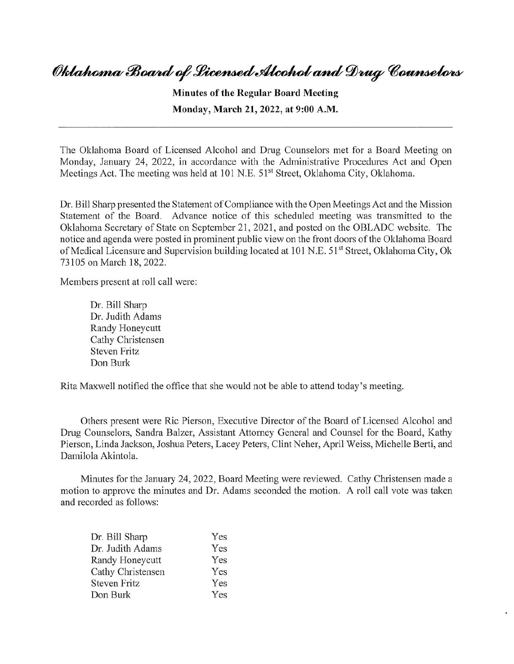## Oklahoma Board of Licensed Alcohol and Drug Counselors

**Minutes of the Regular Board Meeting Monday, March 21, 2022, at 9:00** A.M.

The Oklahoma Board of Licensed Alcohol and Drug Counselors met for a Board Meeting on Monday, January 24, 2022, in accordance with the Administrative Procedures Act and Open Meetings Act. The meeting was held at 101 N.E. 51<sup>st</sup> Street, Oklahoma City, Oklahoma.

Dr. Bill Sharp presented the Statement of Compliance with the Open Meetings Act and the Mission Statement of the Board. Advance notice of this scheduled meeting was transmitted to the Oklahoma Secretary of State on September 21, 2021, and posted on the OBLADC website. The notice and agenda were posted in prominent public view on the front doors of the Oklahoma Board of Medical Licensure and Supervision building located at 101 N.E. 51<sup>st</sup> Street, Oklahoma City, Ok 73105 on March 18, 2022.

Members present at roll call were:

Dr. Bill Sharp Dr. Judith Adams Randy Honeycutt Cathy Christensen Steven Fritz Don Burk

Rita Maxwell notified the office that she would not be able to attend today's meeting.

Others present were Ric Pierson, Executive Director of the Board of Licensed Alcohol and Drug Counselors, Sandra Balzer, Assistant Attorney General and Counsel for the Board, Kathy Pierson, Linda Jackson, Joshua Peters, Lacey Peters, Clint Neher, April Weiss, Michelle Berti, and Damilola Akintola.

Minutes for the January 24, 2022, Board Meeting were reviewed. Cathy Christensen made a motion to approve the minutes and Dr. Adams seconded the motion. A roll call vote was taken and recorded as follows:

| Dr. Bill Sharp      | Yes |
|---------------------|-----|
| Dr. Judith Adams    | Yes |
| Randy Honeycutt     | Yes |
| Cathy Christensen   | Yes |
| <b>Steven Fritz</b> | Yes |
| Don Burk            | Yes |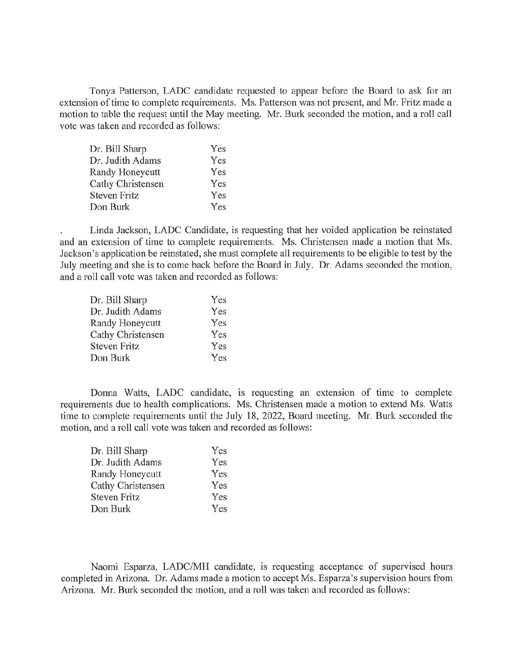Tonya Patterson, LADC candidate requested to appear before the Board to ask for an extension of time to complete requirements. Ms. Patterson was not present, and Mr. Fritz made a motion to table the request until the May meeting. Mr. Burk seconded the motion, and a roll call vote was taken and recorded as follows:

| Dr. Bill Sharp      | Yes |
|---------------------|-----|
| Dr. Judith Adams    | Yes |
| Randy Honeycutt     | Yes |
| Cathy Christensen   | Yes |
| <b>Steven Fritz</b> | Yes |
| Don Burk            | Yes |

Linda Jackson, LADC Candidate, is requesting that her voided application be reinstated and an extension of time to complete requirements. Ms. Christensen made a motion that Ms. Jackson's application be reinstated, she must complete all requirements to be eligible to test by the July meeting and she is to come back before the Board in July. Dr. Adams seconded the motion, and a roll call vote was taken and recorded as follows:

| Yes |
|-----|
| Yes |
| Yes |
| Yes |
| Yes |
| Yes |
|     |

Donna Watts, LADC candidate, is requesting an extension of time to complete requirements due to health complications. Ms. Christensen made a motion to extend Ms. Watts time to complete requirements until the July 18, 2022, Board meeting. Mr. Burk seconded the motion, and a roll call vote was taken and recorded as follows:

| Yes |
|-----|
| Yes |
| Yes |
| Yes |
| Yes |
| Yes |
|     |

Naomi Esparza, LADC/MH candidate, is requesting acceptance of supervised hours completed in Arizona. Dr. Adams made a motion to accept Ms. Esparza's supervision hours from Arizona. Mr. Burk seconded the motion, and a roll was taken and recorded as follows: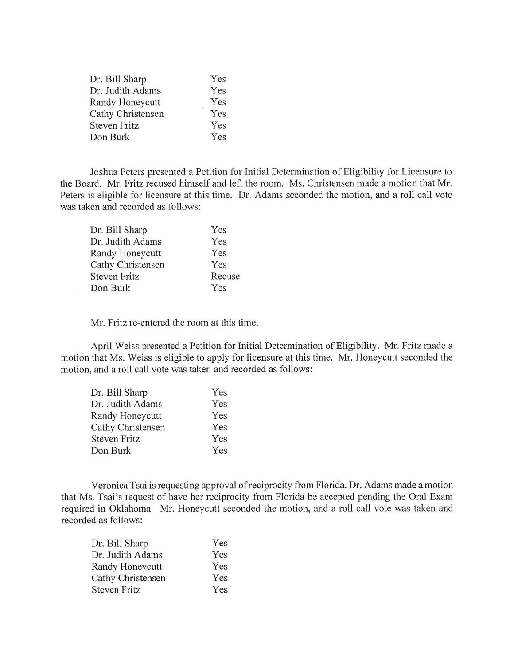| Dr. Bill Sharp      | Yes |
|---------------------|-----|
| Dr. Judith Adams    | Yes |
| Randy Honeycutt     | Yes |
| Cathy Christensen   | Yes |
| <b>Steven Fritz</b> | Yes |
| Don Burk            | Yes |

Joshua Peters presented a Petition for Initial Determination of Eligibility for Licensure to the Board. Mr. Fritz recused himself and left the room. Ms. Christensen made a motion that Mr. Peters is eligible for licensure at this time. Dr. Adams seconded the motion, and a roll call vote was taken and recorded as follows:

| Dr. Bill Sharp      | Yes    |
|---------------------|--------|
| Dr. Judith Adams    | Yes    |
| Randy Honeycutt     | Yes    |
| Cathy Christensen   | Yes    |
| <b>Steven Fritz</b> | Recuse |
| Don Burk            | Yes    |

Mr. Fritz re-entered the room at this time.

April Weiss presented a Petition for Initial Determination of Eligibility. Mr. Fritz made a motion that Ms. Weiss is eligible to apply for licensure at this time. Mr. Honeycutt seconded the motion, and a roll call vote was taken and recorded as follows:

| Dr. Bill Sharp      | Yes |
|---------------------|-----|
| Dr. Judith Adams    | Yes |
| Randy Honeycutt     | Yes |
| Cathy Christensen   | Yes |
| <b>Steven Fritz</b> | Yes |
| Don Burk            | Yes |

Veronica Tsai is requesting approval of reciprocity from Florida. Dr. Adams made a motion that Ms. Tsai's request of have her reciprocity from Florida be accepted pending the Oral Exam required in Oklahoma. Mr. Honeycutt seconded the motion, and a roll call vote was taken and recorded as follows:

| Dr. Bill Sharp      | Yes |
|---------------------|-----|
| Dr. Judith Adams    | Yes |
| Randy Honeycutt     | Yes |
| Cathy Christensen   | Yes |
| <b>Steven Fritz</b> | Yes |